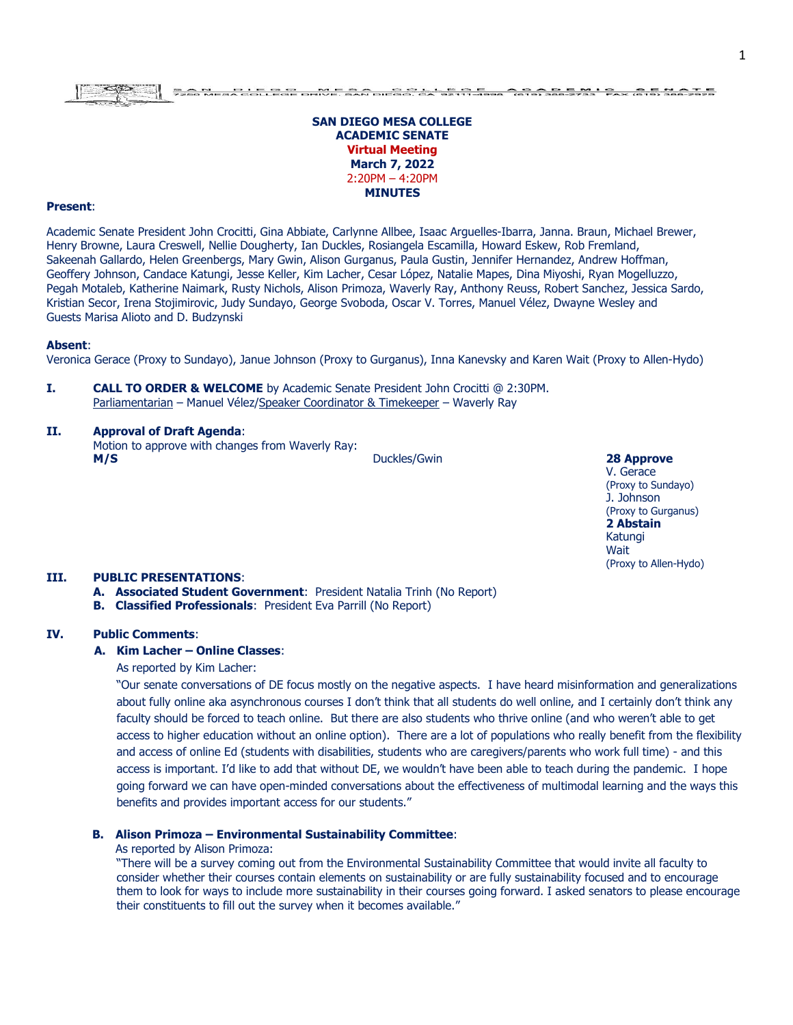# E PO E PLEADERS, O PLEAD AND BALLACH ALEMANY.

# **SAN DIEGO MESA COLLEGE ACADEMIC SENATE Virtual Meeting March 7, 2022** 2:20PM – 4:20PM **MINUTES**

# **Present**:

Academic Senate President John Crocitti, Gina Abbiate, Carlynne Allbee, Isaac Arguelles-Ibarra, Janna. Braun, Michael Brewer, Henry Browne, Laura Creswell, Nellie Dougherty, Ian Duckles, Rosiangela Escamilla, Howard Eskew, Rob Fremland, Sakeenah Gallardo, Helen Greenbergs, Mary Gwin, Alison Gurganus, Paula Gustin, Jennifer Hernandez, Andrew Hoffman, Geoffery Johnson, Candace Katungi, Jesse Keller, Kim Lacher, Cesar López, Natalie Mapes, Dina Miyoshi, Ryan Mogelluzzo, Pegah Motaleb, Katherine Naimark, Rusty Nichols, Alison Primoza, Waverly Ray, Anthony Reuss, Robert Sanchez, Jessica Sardo, Kristian Secor, Irena Stojimirovic, Judy Sundayo, George Svoboda, Oscar V. Torres, Manuel Vélez, Dwayne Wesley and Guests Marisa Alioto and D. Budzynski

#### **Absent**:

Veronica Gerace (Proxy to Sundayo), Janue Johnson (Proxy to Gurganus), Inna Kanevsky and Karen Wait (Proxy to Allen-Hydo)

**I. CALL TO ORDER & WELCOME** by Academic Senate President John Crocitti @ 2:30PM. Parliamentarian – Manuel Vélez/Speaker Coordinator & Timekeeper – Waverly Ray

# **II. Approval of Draft Agenda**:

Motion to approve with changes from Waverly Ray: **M/S** 28 Approve

V. Gerace (Proxy to Sundayo) J. Johnson (Proxy to Gurganus) **2 Abstain** Katungi Wait (Proxy to Allen-Hydo)

### **III. PUBLIC PRESENTATIONS**:

- **A. Associated Student Government**: President Natalia Trinh (No Report)
- **B. Classified Professionals**: President Eva Parrill (No Report)

# **IV. Public Comments**:

# **A. Kim Lacher – Online Classes**:

### As reported by Kim Lacher:

"Our senate conversations of DE focus mostly on the negative aspects. I have heard misinformation and generalizations about fully online aka asynchronous courses I don't think that all students do well online, and I certainly don't think any faculty should be forced to teach online. But there are also students who thrive online (and who weren't able to get access to higher education without an online option). There are a lot of populations who really benefit from the flexibility and access of online Ed (students with disabilities, students who are caregivers/parents who work full time) - and this access is important. I'd like to add that without DE, we wouldn't have been able to teach during the pandemic. I hope going forward we can have open-minded conversations about the effectiveness of multimodal learning and the ways this benefits and provides important access for our students."

### **B. Alison Primoza – Environmental Sustainability Committee**:

#### As reported by Alison Primoza:

"There will be a survey coming out from the Environmental Sustainability Committee that would invite all faculty to consider whether their courses contain elements on sustainability or are fully sustainability focused and to encourage them to look for ways to include more sustainability in their courses going forward. I asked senators to please encourage their constituents to fill out the survey when it becomes available."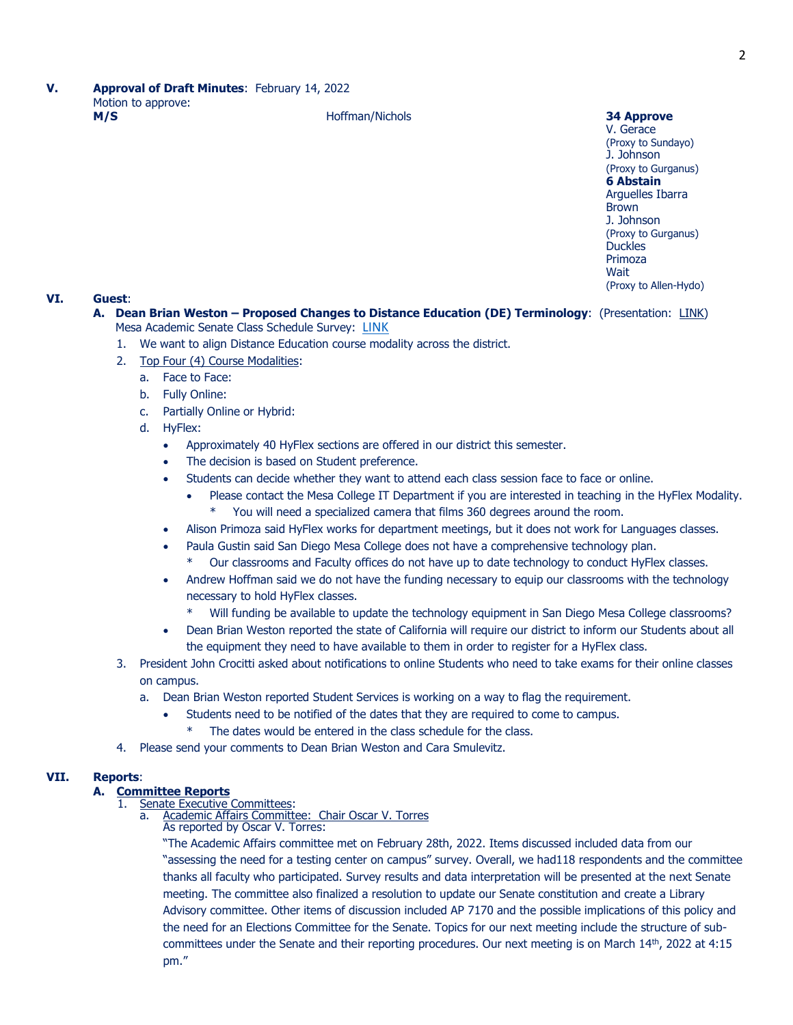V. Gerace (Proxy to Sundayo) J. Johnson (Proxy to Gurganus) **6 Abstain** Arguelles Ibarra Brown J. Johnson (Proxy to Gurganus) **Duckles** Primoza Wait (Proxy to Allen-Hydo)

# **VI. Guest**:

- **A. Dean Brian Weston – Proposed Changes to Distance Education (DE) Terminology**: (Presentation: [LINK\)](https://www.sdmesa.edu/about-mesa/governance/academic-senate/Student%20DE%20Class%20Terminology%20-%20Mesa%20AS.pdf) Mesa Academic Senate Class Schedule Survey: [LINK](https://forms.office.com/r/jqQcB4eiGP)
	- 1. We want to align Distance Education course modality across the district.
	- 2. Top Four (4) Course Modalities:
		- a. Face to Face:
		- b. Fully Online:
		- c. Partially Online or Hybrid:
		- d. HyFlex:
			- Approximately 40 HyFlex sections are offered in our district this semester.
			- The decision is based on Student preference.
			- Students can decide whether they want to attend each class session face to face or online.
				- Please contact the Mesa College IT Department if you are interested in teaching in the HyFlex Modality. You will need a specialized camera that films 360 degrees around the room.
			- Alison Primoza said HyFlex works for department meetings, but it does not work for Languages classes.
			- Paula Gustin said San Diego Mesa College does not have a comprehensive technology plan.
				- Our classrooms and Faculty offices do not have up to date technology to conduct HyFlex classes.
			- Andrew Hoffman said we do not have the funding necessary to equip our classrooms with the technology necessary to hold HyFlex classes.
				- Will funding be available to update the technology equipment in San Diego Mesa College classrooms?
			- Dean Brian Weston reported the state of California will require our district to inform our Students about all the equipment they need to have available to them in order to register for a HyFlex class.
	- 3. President John Crocitti asked about notifications to online Students who need to take exams for their online classes on campus.
		- a. Dean Brian Weston reported Student Services is working on a way to flag the requirement.
			- Students need to be notified of the dates that they are required to come to campus.
				- The dates would be entered in the class schedule for the class.
	- 4. Please send your comments to Dean Brian Weston and Cara Smulevitz.

# **VII. Reports**:

# **A. Committee Reports**

- 1. Senate Executive Committees:
	- a. Academic Affairs Committee: Chair Oscar V. Torres
		- As reported by Oscar V. Torres:

"The Academic Affairs committee met on February 28th, 2022. Items discussed included data from our "assessing the need for a testing center on campus" survey. Overall, we had118 respondents and the committee thanks all faculty who participated. Survey results and data interpretation will be presented at the next Senate meeting. The committee also finalized a resolution to update our Senate constitution and create a Library Advisory committee. Other items of discussion included AP 7170 and the possible implications of this policy and the need for an Elections Committee for the Senate. Topics for our next meeting include the structure of subcommittees under the Senate and their reporting procedures. Our next meeting is on March 14<sup>th</sup>, 2022 at 4:15 pm."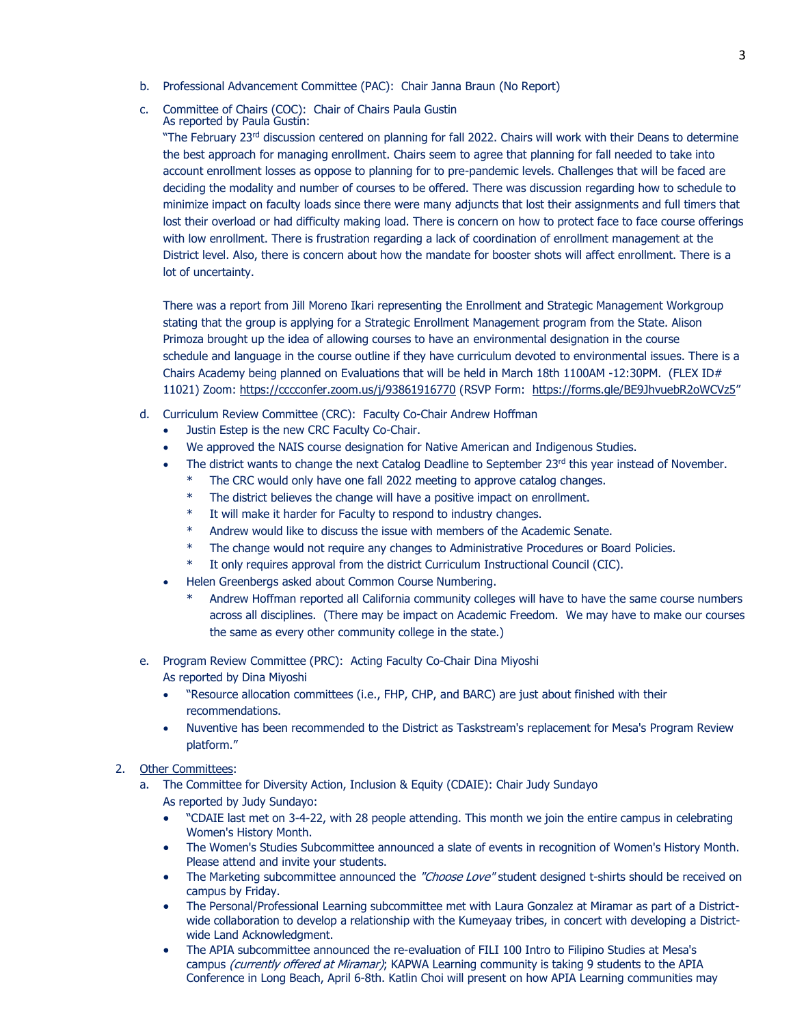- b. Professional Advancement Committee (PAC): Chair Janna Braun (No Report)
- c. Committee of Chairs (COC): Chair of Chairs Paula Gustin As reported by Paula Gustin:

"The February 23<sup>rd</sup> discussion centered on planning for fall 2022. Chairs will work with their Deans to determine the best approach for managing enrollment. Chairs seem to agree that planning for fall needed to take into account enrollment losses as oppose to planning for to pre-pandemic levels. Challenges that will be faced are deciding the modality and number of courses to be offered. There was discussion regarding how to schedule to minimize impact on faculty loads since there were many adjuncts that lost their assignments and full timers that lost their overload or had difficulty making load. There is concern on how to protect face to face course offerings with low enrollment. There is frustration regarding a lack of coordination of enrollment management at the District level. Also, there is concern about how the mandate for booster shots will affect enrollment. There is a lot of uncertainty.

There was a report from Jill Moreno Ikari representing the Enrollment and Strategic Management Workgroup stating that the group is applying for a Strategic Enrollment Management program from the State. Alison Primoza brought up the idea of allowing courses to have an environmental designation in the course schedule and language in the course outline if they have curriculum devoted to environmental issues. There is a Chairs Academy being planned on Evaluations that will be held in March 18th 1100AM -12:30PM. (FLEX ID# 11021) Zoom:<https://cccconfer.zoom.us/j/93861916770> (RSVP Form: <https://forms.gle/BE9JhvuebR2oWCVz5>"

- d. Curriculum Review Committee (CRC): Faculty Co-Chair Andrew Hoffman
	- Justin Estep is the new CRC Faculty Co-Chair.
	- We approved the NAIS course designation for Native American and Indigenous Studies.
	- The district wants to change the next Catalog Deadline to September 23rd this year instead of November.
		- The CRC would only have one fall 2022 meeting to approve catalog changes.
		- The district believes the change will have a positive impact on enrollment.
		- It will make it harder for Faculty to respond to industry changes.
		- Andrew would like to discuss the issue with members of the Academic Senate.
		- The change would not require any changes to Administrative Procedures or Board Policies.
		- \* It only requires approval from the district Curriculum Instructional Council (CIC).
	- Helen Greenbergs asked about Common Course Numbering.
		- Andrew Hoffman reported all California community colleges will have to have the same course numbers across all disciplines. (There may be impact on Academic Freedom. We may have to make our courses the same as every other community college in the state.)
- e. Program Review Committee (PRC): Acting Faculty Co-Chair Dina Miyoshi As reported by Dina Miyoshi
	- "Resource allocation committees (i.e., FHP, CHP, and BARC) are just about finished with their recommendations.
	- Nuventive has been recommended to the District as Taskstream's replacement for Mesa's Program Review platform."

# 2. Other Committees:

- a. The Committee for Diversity Action, Inclusion & Equity (CDAIE): Chair Judy Sundayo As reported by Judy Sundayo:
	- "CDAIE last met on 3-4-22, with 28 people attending. This month we join the entire campus in celebrating Women's History Month.
	- The Women's Studies Subcommittee announced a slate of events in recognition of Women's History Month. Please attend and invite your students.
	- The Marketing subcommittee announced the "Choose Love" student designed t-shirts should be received on campus by Friday.
	- The Personal/Professional Learning subcommittee met with Laura Gonzalez at Miramar as part of a Districtwide collaboration to develop a relationship with the Kumeyaay tribes, in concert with developing a Districtwide Land Acknowledgment.
	- The APIA subcommittee announced the re-evaluation of FILI 100 Intro to Filipino Studies at Mesa's campus (currently offered at Miramar); KAPWA Learning community is taking 9 students to the APIA Conference in Long Beach, April 6-8th. Katlin Choi will present on how APIA Learning communities may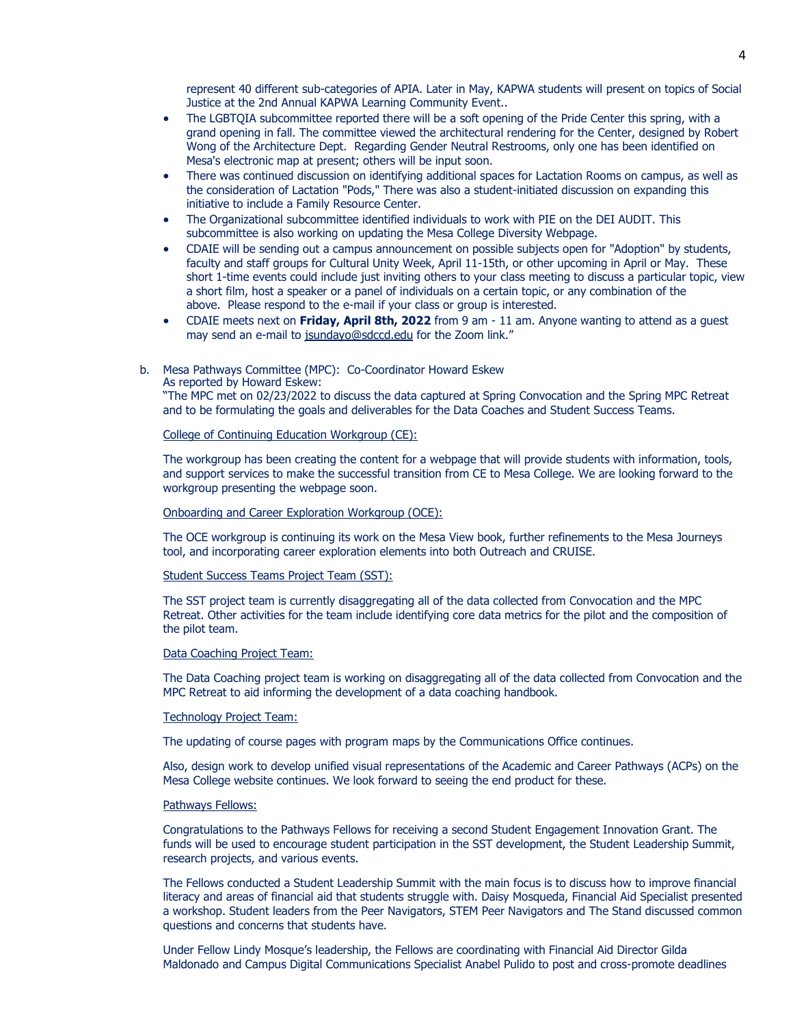represent 40 different sub-categories of APIA. Later in May, KAPWA students will present on topics of Social Justice at the 2nd Annual KAPWA Learning Community Event..

- The LGBTOIA subcommittee reported there will be a soft opening of the Pride Center this spring, with a grand opening in fall. The committee viewed the architectural rendering for the Center, designed by Robert Wong of the Architecture Dept. Regarding Gender Neutral Restrooms, only one has been identified on Mesa's electronic map at present; others will be input soon.
- There was continued discussion on identifying additional spaces for Lactation Rooms on campus, as well as the consideration of Lactation "Pods," There was also a student-initiated discussion on expanding this initiative to include a Family Resource Center.
- The Organizational subcommittee identified individuals to work with PIE on the DEI AUDIT. This subcommittee is also working on updating the Mesa College Diversity Webpage.
- CDAIE will be sending out a campus announcement on possible subjects open for "Adoption" by students, faculty and staff groups for Cultural Unity Week, April 11-15th, or other upcoming in April or May. These short 1-time events could include just inviting others to your class meeting to discuss a particular topic, view a short film, host a speaker or a panel of individuals on a certain topic, or any combination of the above. Please respond to the e-mail if your class or group is interested.
- CDAIE meets next on **Friday, April 8th, 2022** from 9 am 11 am. Anyone wanting to attend as a guest may send an e-mail to [jsundayo@sdccd.edu](mailto:jsundayo@sdccd.edu) for the Zoom link."
- b. Mesa Pathways Committee (MPC): Co-Coordinator Howard Eskew As reported by Howard Eskew:

"The MPC met on 02/23/2022 to discuss the data captured at Spring Convocation and the Spring MPC Retreat and to be formulating the goals and deliverables for the Data Coaches and Student Success Teams.

College of Continuing Education Workgroup (CE):

The workgroup has been creating the content for a webpage that will provide students with information, tools, and support services to make the successful transition from CE to Mesa College. We are looking forward to the workgroup presenting the webpage soon.

Onboarding and Career Exploration Workgroup (OCE):

The OCE workgroup is continuing its work on the Mesa View book, further refinements to the Mesa Journeys tool, and incorporating career exploration elements into both Outreach and CRUISE.

Student Success Teams Project Team (SST):

The SST project team is currently disaggregating all of the data collected from Convocation and the MPC Retreat. Other activities for the team include identifying core data metrics for the pilot and the composition of the pilot team.

Data Coaching Project Team:

The Data Coaching project team is working on disaggregating all of the data collected from Convocation and the MPC Retreat to aid informing the development of a data coaching handbook.

#### Technology Project Team:

The updating of course pages with program maps by the Communications Office continues.

Also, design work to develop unified visual representations of the Academic and Career Pathways (ACPs) on the Mesa College website continues. We look forward to seeing the end product for these.

#### Pathways Fellows:

Congratulations to the Pathways Fellows for receiving a second Student Engagement Innovation Grant. The funds will be used to encourage student participation in the SST development, the Student Leadership Summit, research projects, and various events.

The Fellows conducted a Student Leadership Summit with the main focus is to discuss how to improve financial literacy and areas of financial aid that students struggle with. Daisy Mosqueda, Financial Aid Specialist presented a workshop. Student leaders from the Peer Navigators, STEM Peer Navigators and The Stand discussed common questions and concerns that students have.

Under Fellow Lindy Mosque's leadership, the Fellows are coordinating with Financial Aid Director Gilda Maldonado and Campus Digital Communications Specialist Anabel Pulido to post and cross-promote deadlines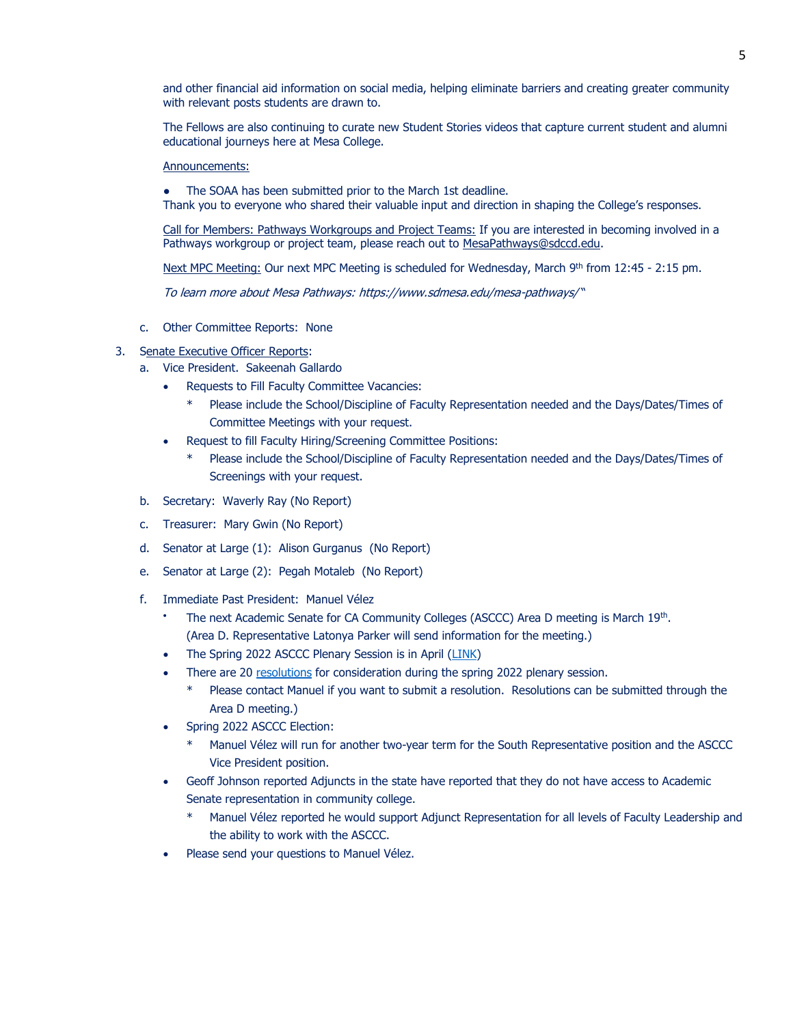and other financial aid information on social media, helping eliminate barriers and creating greater community with relevant posts students are drawn to.

The Fellows are also continuing to curate new Student Stories videos that capture current student and alumni educational journeys here at Mesa College.

#### Announcements:

The SOAA has been submitted prior to the March 1st deadline.

Thank you to everyone who shared their valuable input and direction in shaping the College's responses.

Call for Members: Pathways Workgroups and Project Teams: If you are interested in becoming involved in a Pathways workgroup or project team, please reach out to [MesaPathways@sdccd.edu.](mailto:MesaPathways@sdccd.edu)

Next MPC Meeting: Our next MPC Meeting is scheduled for Wednesday, March 9<sup>th</sup> from 12:45 - 2:15 pm.

To learn more about Mesa Pathways:<https://www.sdmesa.edu/mesa-pathways/> "

c. Other Committee Reports: None

# 3. Senate Executive Officer Reports:

- a. Vice President. Sakeenah Gallardo
	- Requests to Fill Faculty Committee Vacancies:
		- Please include the School/Discipline of Faculty Representation needed and the Days/Dates/Times of Committee Meetings with your request.
	- Request to fill Faculty Hiring/Screening Committee Positions:
		- Please include the School/Discipline of Faculty Representation needed and the Days/Dates/Times of Screenings with your request.
- b. Secretary: Waverly Ray (No Report)
- c. Treasurer: Mary Gwin (No Report)
- d. Senator at Large (1): Alison Gurganus (No Report)
- e. Senator at Large (2): Pegah Motaleb (No Report)
- f. Immediate Past President: Manuel Vélez
	- The next Academic Senate for CA Community Colleges (ASCCC) Area D meeting is March 19<sup>th</sup>. (Area D. Representative Latonya Parker will send information for the meeting.)
	- The Spring 2022 ASCCC Plenary Session is in April [\(LINK\)](https://asccc.org/events/april-7-2022-900am/2022-spring-plenary-session-hybrid-event)
	- There are 20 [resolutions](https://asccc.org/resources/resolutions) for consideration during the spring 2022 plenary session.
		- Please contact Manuel if you want to submit a resolution. Resolutions can be submitted through the Area D meeting.)
	- Spring 2022 ASCCC Election:
		- Manuel Vélez will run for another two-year term for the South Representative position and the ASCCC Vice President position.
	- Geoff Johnson reported Adjuncts in the state have reported that they do not have access to Academic Senate representation in community college.
		- Manuel Vélez reported he would support Adjunct Representation for all levels of Faculty Leadership and the ability to work with the ASCCC.
	- Please send your questions to Manuel Vélez.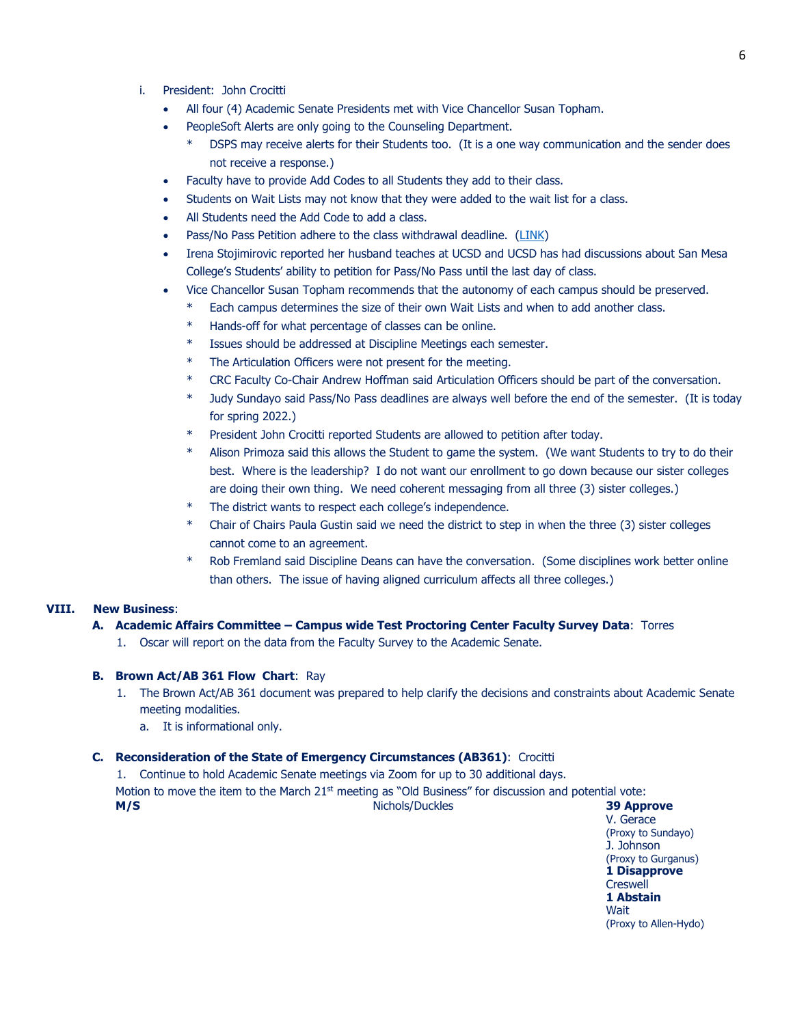- i. President: John Crocitti
	- All four (4) Academic Senate Presidents met with Vice Chancellor Susan Topham.
	- PeopleSoft Alerts are only going to the Counseling Department.
		- DSPS may receive alerts for their Students too. (It is a one way communication and the sender does not receive a response.)
	- Faculty have to provide Add Codes to all Students they add to their class.
	- Students on Wait Lists may not know that they were added to the wait list for a class.
	- All Students need the Add Code to add a class.
	- Pass/No Pass Petition adhere to the class withdrawal deadline. [\(LINK\)](https://www.sdccd.edu/students/college-policies/pass-no-pass-grading-policy.aspx)
	- Irena Stojimirovic reported her husband teaches at UCSD and UCSD has had discussions about San Mesa College's Students' ability to petition for Pass/No Pass until the last day of class.
	- Vice Chancellor Susan Topham recommends that the autonomy of each campus should be preserved.
		- Each campus determines the size of their own Wait Lists and when to add another class.
		- \* Hands-off for what percentage of classes can be online.
		- \* Issues should be addressed at Discipline Meetings each semester.
		- \* The Articulation Officers were not present for the meeting.
		- \* CRC Faculty Co-Chair Andrew Hoffman said Articulation Officers should be part of the conversation.
		- \* Judy Sundayo said Pass/No Pass deadlines are always well before the end of the semester. (It is today for spring 2022.)
		- \* President John Crocitti reported Students are allowed to petition after today.
		- Alison Primoza said this allows the Student to game the system. (We want Students to try to do their best. Where is the leadership? I do not want our enrollment to go down because our sister colleges are doing their own thing. We need coherent messaging from all three (3) sister colleges.)
		- The district wants to respect each college's independence.
		- Chair of Chairs Paula Gustin said we need the district to step in when the three (3) sister colleges cannot come to an agreement.
		- Rob Fremland said Discipline Deans can have the conversation. (Some disciplines work better online than others. The issue of having aligned curriculum affects all three colleges.)

### **VIII. New Business**:

# **A. Academic Affairs Committee – Campus wide Test Proctoring Center Faculty Survey Data**: Torres

1. Oscar will report on the data from the Faculty Survey to the Academic Senate.

### **B. Brown Act/AB 361 Flow Chart**: Ray

- 1. The Brown Act/AB 361 document was prepared to help clarify the decisions and constraints about Academic Senate meeting modalities.
	- a. It is informational only.

### **C. Reconsideration of the State of Emergency Circumstances (AB361)**: Crocitti

1. Continue to hold Academic Senate meetings via Zoom for up to 30 additional days.

Motion to move the item to the March  $21<sup>st</sup>$  meeting as "Old Business" for discussion and potential vote:

**M/S** Nichols/Duckles **39 Approve**

V. Gerace (Proxy to Sundayo) J. Johnson (Proxy to Gurganus) **1 Disapprove Creswell 1 Abstain Wait** (Proxy to Allen-Hydo)